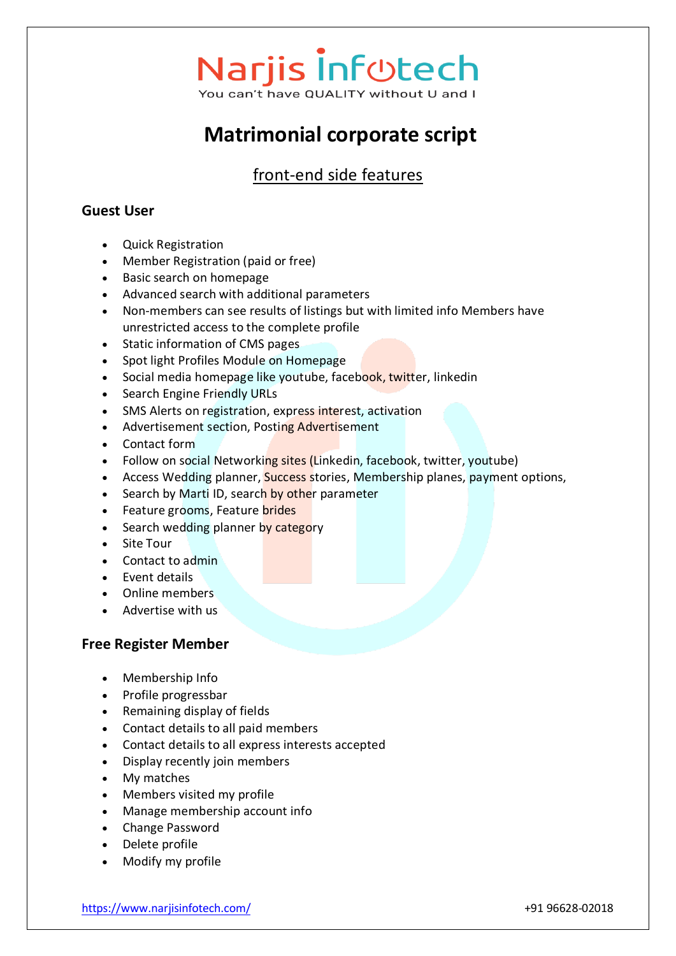### **Narjis Infotech** You can't have OUALITY without U and I

**Matrimonial corporate script**

### front-end side features

#### **Guest User**

- Quick Registration
- Member Registration (paid or free)
- Basic search on homepage
- Advanced search with additional parameters
- Non-members can see results of listings but with limited info Members have unrestricted access to the complete profile
- Static information of CMS pages
- Spot light Profiles Module on Homepage
- Social media homepage like youtube, facebook, twitter, linkedin
- Search Engine Friendly URLs
- SMS Alerts on registration, express interest, activation
- Advertisement section, Posting Advertisement
- Contact form
- Follow on social Networking sites (Linkedin, facebook, twitter, youtube)
- Access Wedding planner, Success stories, Membership planes, payment options,
- Search by Marti ID, search by other parameter
- Feature grooms, Feature brides
- Search wedding planner by category
- Site Tour
- Contact to admin
- Event details
- Online members
- Advertise with us

#### **Free Register Member**

- Membership Info
- Profile progressbar
- Remaining display of fields
- Contact details to all paid members
- Contact details to all express interests accepted
- Display recently join members
- My matches
- Members visited my profile
- Manage membership account info
- Change Password
- Delete profile
- Modify my profile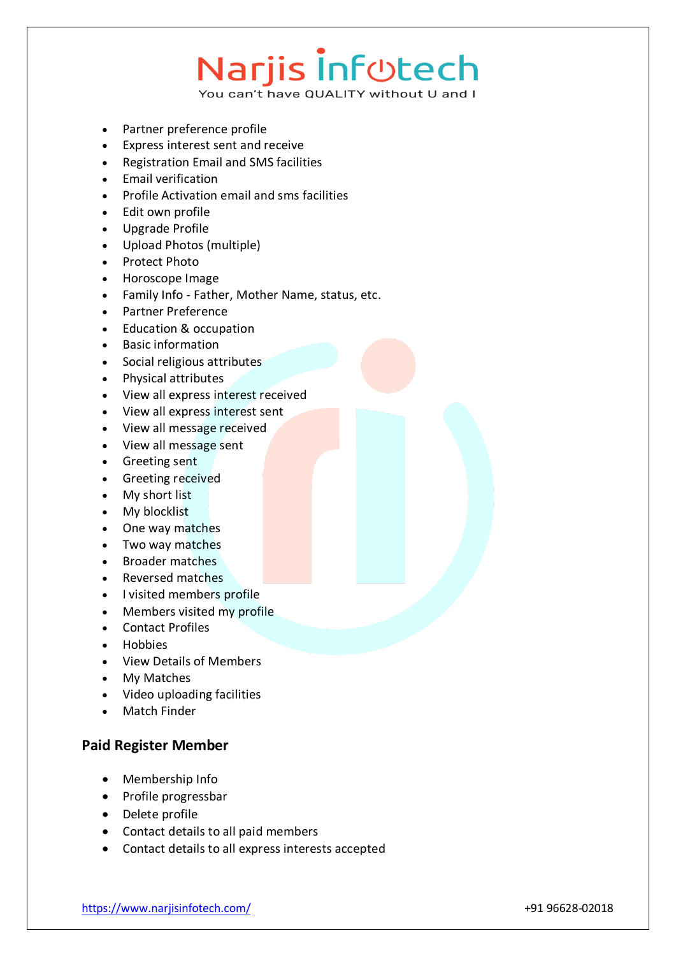You can't have QUALITY without U and I

- Partner preference profile
- Express interest sent and receive
- Registration Email and SMS facilities
- Email verification
- Profile Activation email and sms facilities
- Edit own profile
- Upgrade Profile
- Upload Photos (multiple)
- Protect Photo
- Horoscope Image
- Family Info Father, Mother Name, status, etc.
- Partner Preference
- Education & occupation
- Basic information
- Social religious attributes
- Physical attributes
- View all express interest received
- View all express interest sent
- View all message received
- View all message sent
- Greeting sent
- Greeting received
- My short list
- My blocklist
- One way matches
- Two way matches
- Broader matches
- Reversed matches
- I visited members profile
- Members visited my profile
- Contact Profiles
- Hobbies
- View Details of Members
- My Matches
- Video uploading facilities
- Match Finder

#### **Paid Register Member**

- Membership Info
- Profile progressbar
- Delete profile
- Contact details to all paid members
- Contact details to all express interests accepted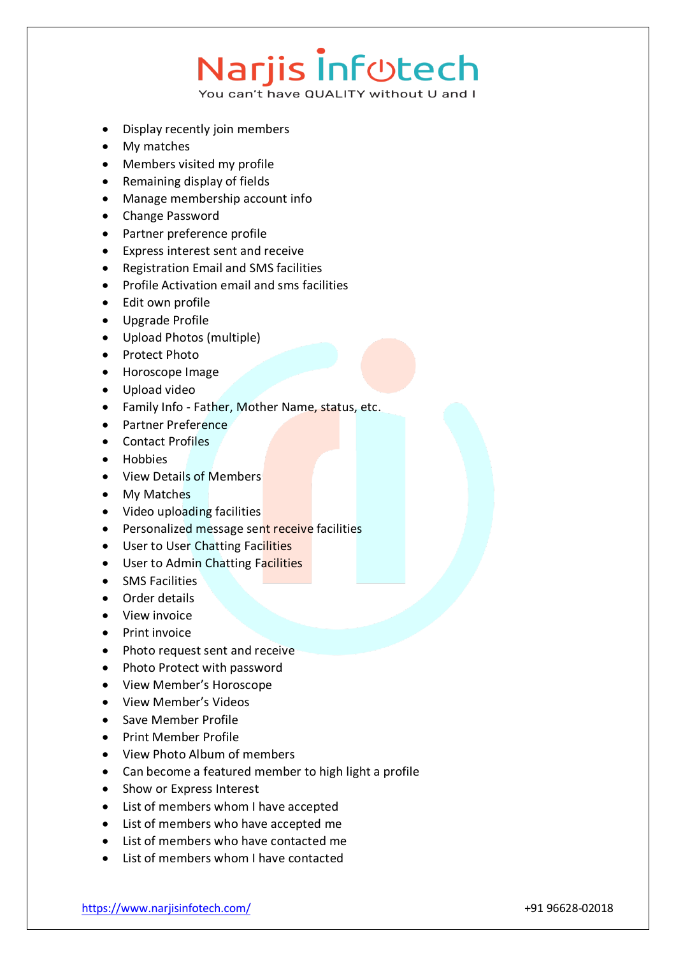- Display recently join members
- My matches
- Members visited my profile
- Remaining display of fields
- Manage membership account info
- Change Password
- Partner preference profile
- Express interest sent and receive
- Registration Email and SMS facilities
- Profile Activation email and sms facilities
- Edit own profile
- Upgrade Profile
- Upload Photos (multiple)
- Protect Photo
- Horoscope Image
- Upload video
- Family Info Father, Mother Name, status, etc.
- Partner Preference
- Contact Profiles
- Hobbies
- View Details of Members
- My Matches
- Video uploading facilities
- **•** Personalized message sent receive facilities
- User to User Chatting Facilities
- User to Admin Chatting Facilities
- SMS Facilities
- Order details
- View invoice
- Print invoice
- Photo request sent and receive
- Photo Protect with password
- View Member's Horoscope
- View Member's Videos
- Save Member Profile
- Print Member Profile
- View Photo Album of members
- Can become a featured member to high light a profile
- Show or Express Interest
- List of members whom I have accepted
- List of members who have accepted me
- List of members who have contacted me
- List of members whom I have contacted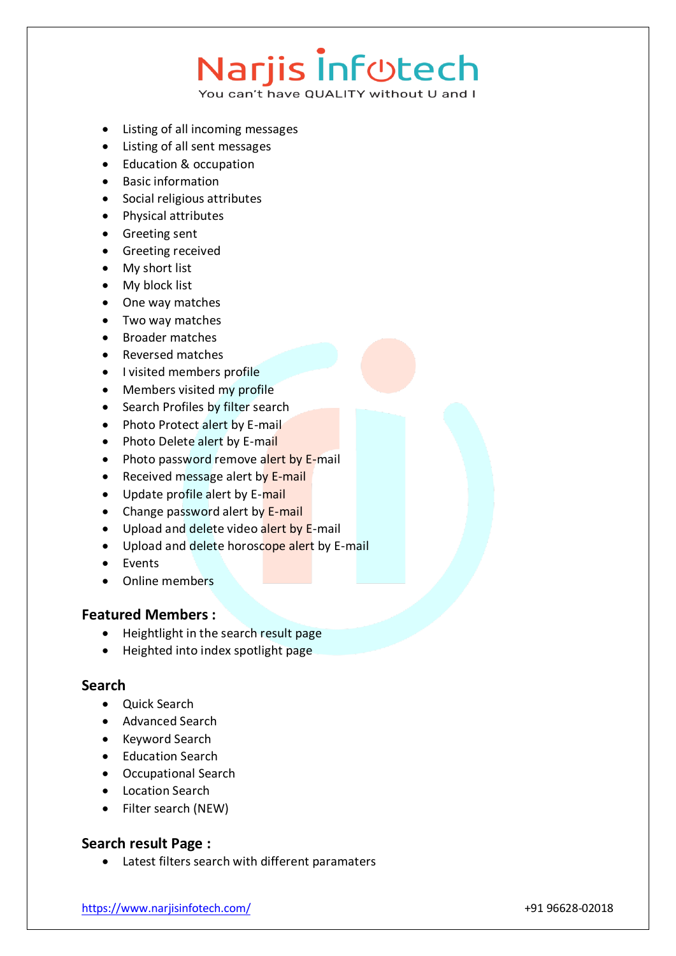You can't have QUALITY without U and I

- Listing of all incoming messages
- Listing of all sent messages
- Education & occupation
- Basic information
- Social religious attributes
- Physical attributes
- Greeting sent
- Greeting received
- My short list
- My block list
- One way matches
- Two way matches
- Broader matches
- Reversed matches
- I visited members profile
- Members visited my profile
- Search Profiles by filter search
- Photo Protect alert by E-mail
- Photo Delete alert by E-mail
- Photo password remove alert by E-mail
- Received message alert by E-mail
- Update profile alert by E-mail
- Change password alert by E-mail
- Upload and delete video alert by E-mail
- Upload and delete horoscope alert by E-mail
- Events
- Online members

#### **Featured Members :**

- Heightlight in the search result page
- Heighted into index spotlight page

#### **Search**

- Ouick Search
- Advanced Search
- Keyword Search
- Education Search
- Occupational Search
- Location Search
- Filter search (NEW)

#### **Search result Page :**

Latest filters search with different paramaters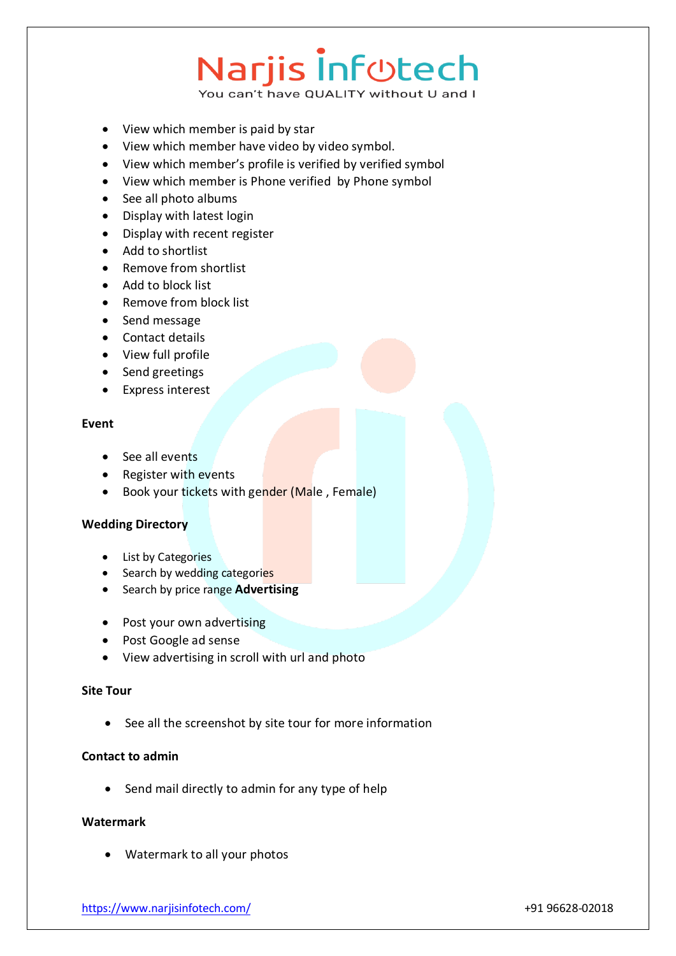You can't have QUALITY without U and I

- View which member is paid by star
- View which member have video by video symbol.
- View which member's profile is verified by verified symbol
- View which member is Phone verified by Phone symbol
- See all photo albums
- Display with latest login
- Display with recent register
- Add to shortlist
- Remove from shortlist
- Add to block list
- Remove from block list
- Send message
- Contact details
- View full profile
- Send greetings
- Express interest

#### **Event**

- See all events
- Register with events
- Book your tickets with gender (Male, Female)

#### **Wedding Directory**

- List by Categories
- Search by wedding categories
- Search by price range **Advertising**
- Post your own advertising
- Post Google ad sense
- View advertising in scroll with url and photo

#### **Site Tour**

See all the screenshot by site tour for more information

#### **Contact to admin**

• Send mail directly to admin for any type of help

#### **Watermark**

Watermark to all your photos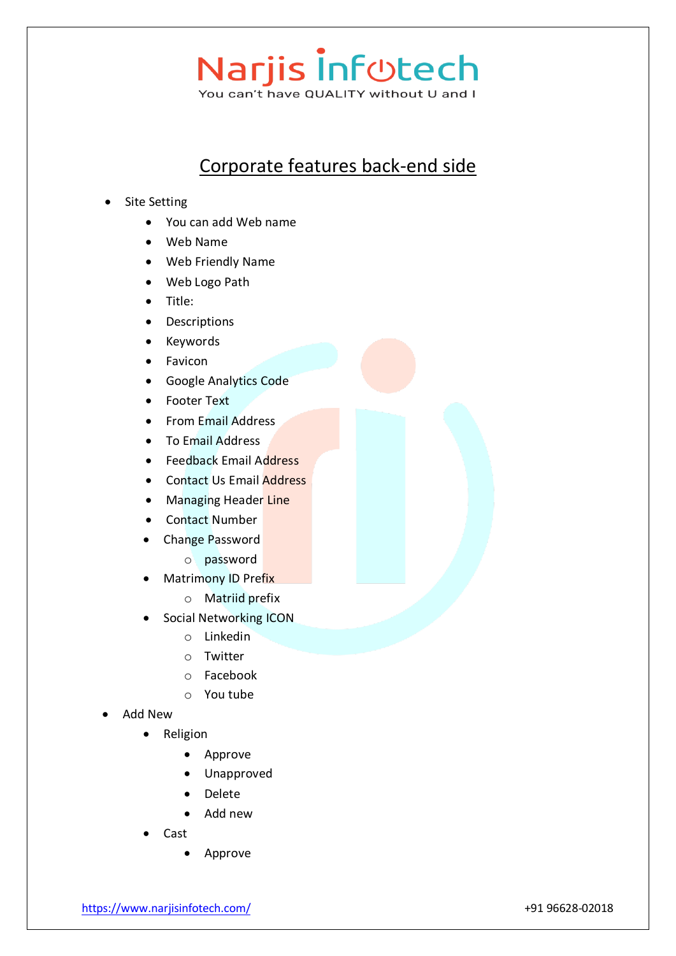### Narjis Inf<sub>Utech</sub> You can't have QUALITY without U and I

Corporate features back-end side

- Site Setting
	- You can add Web name
	- Web Name
	- Web Friendly Name
	- Web Logo Path
	- Title:
	- Descriptions
	- Keywords
	- Favicon
	- Google Analytics Code
	- Footer Text
	- From Email Address
	- To Email Address
	- Feedback Email Address
	- Contact Us Email Address
	- Managing Header Line
	- Contact Number
	- Change Password
		- o password
	- Matrimony ID Prefix
		- o Matriid prefix
	- Social Networking ICON
		- o Linkedin
		- o Twitter
		- o Facebook
		- o You tube
- Add New
	- Religion
		- Approve
		- Unapproved
		- Delete
		- Add new
	- Cast
		- Approve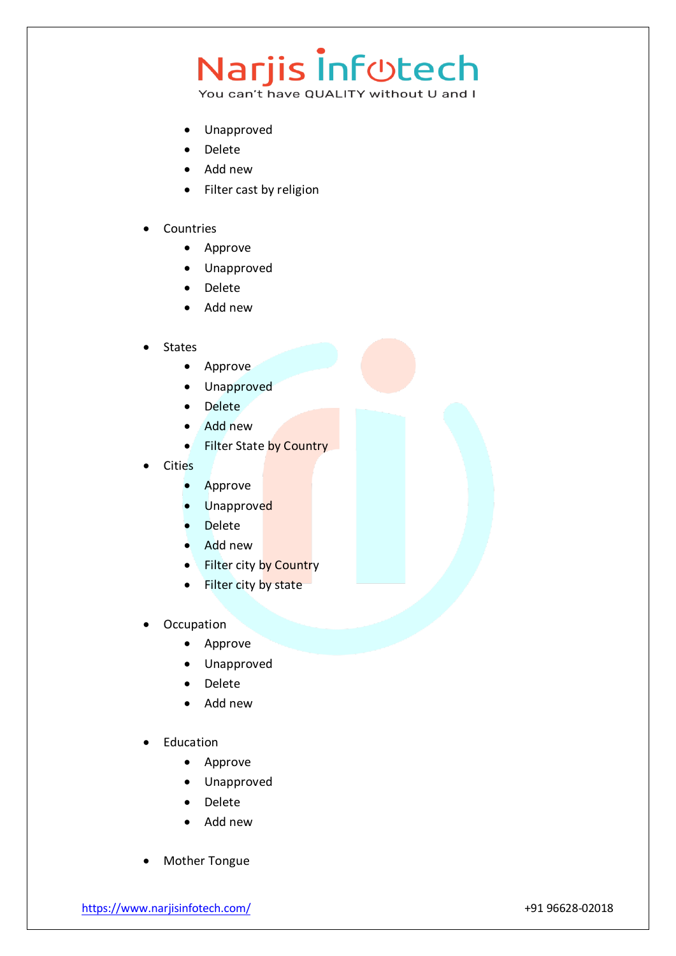- Unapproved
- Delete
- Add new
- Filter cast by religion
- Countries
	- Approve
	- Unapproved
	- Delete
	- Add new
- States
	- Approve
	- Unapproved
	- Delete
	- Add new
	- Filter State by Country
- Cities
	- Approve
	- Unapproved
	- Delete
	- Add new
	- Filter city by Country
	- Filter city by state
- **Occupation** 
	- Approve
	- Unapproved
	- Delete
	- Add new
- Education
	- Approve
	- Unapproved
	- Delete
	- Add new
- Mother Tongue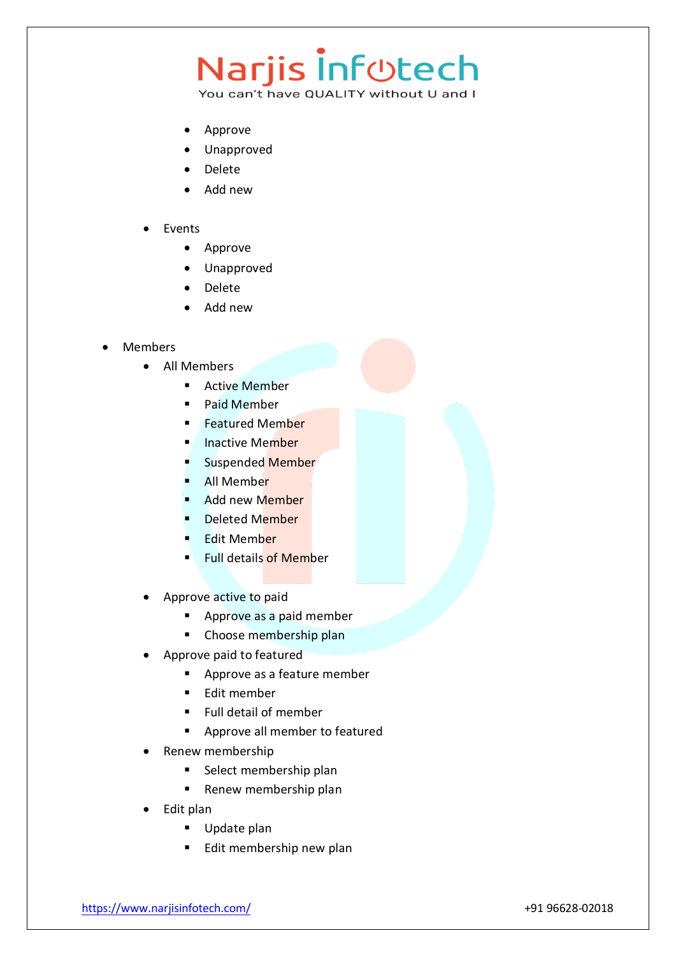### Narjis Inf<sub>Utech</sub>

- Approve
- Unapproved
- Delete
- Add new
- Events
	- Approve
	- Unapproved
	- Delete
	- Add new
- Members
	- All Members
		- **Active Member**
		- **Paid Member**
		- Featured Member
		- Inactive Member
		- Suspended Member
		- All Member
		- Add new Member
		- Deleted Member
		- Edit Member
		- **Full details of Member**
	- Approve active to paid
		- **Approve as a paid member**
		- **EXEC** Choose membership plan
	- Approve paid to featured
		- **Approve as a feature member**
		- **F**dit member
		- **Full detail of member**
		- **Approve all member to featured**
	- Renew membership
		- **Select membership plan**
		- **Renew membership plan**
	- Edit plan
		- Update plan
		- **Edit membership new plan**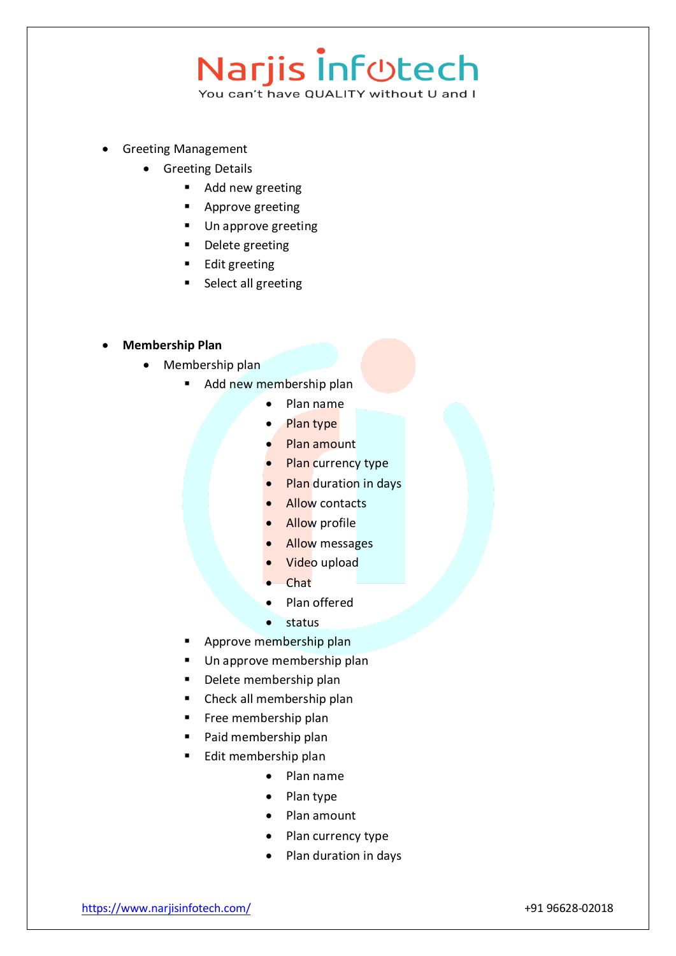### Narjis Inf<sub>©tech</sub>

- Greeting Management
	- Greeting Details
		- Add new greeting
		- **Approve greeting**
		- **Un approve greeting**
		- Delete greeting
		- **Edit greeting**
		- **Select all greeting**
- **Membership Plan**
	- Membership plan
		- Add new membership plan
			- Plan name
			- Plan type
			- Plan amount
			- Plan currency type
			- Plan duration in days
			- Allow contacts
			- Allow profile
			- Allow messages
			- Video upload
			- Chat
			- Plan offered
			- $\bullet$  status
		- Approve membership plan
		- Un approve membership plan
		- Delete membership plan
		- Check all membership plan
		- Free membership plan
		- Paid membership plan
		- Edit membership plan
			- Plan name
			- Plan type
			- Plan amount
			- Plan currency type
			- Plan duration in days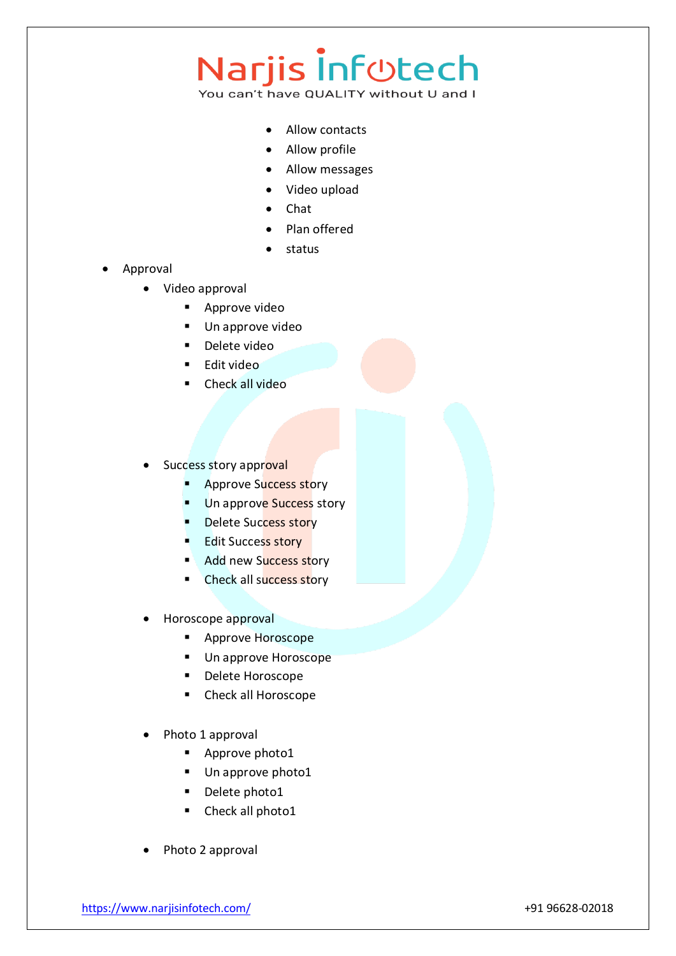### Narjis Inf<sub>Utech</sub>

- Allow contacts
- Allow profile
- Allow messages
- Video upload
- Chat
- Plan offered
- status
- Approval
	- Video approval
		- **Approve video**
		- **Un approve video**
		- Delete video
		- Edit video
		- Check all video
	- Success story approval
		- **Approve Success story**
		- Un approve Success story
		- Delete Success story
		- **Edit Success story**
		- Add new Success story
		- Check all success story
	- Horoscope approval
		- **Approve Horoscope**
		- **Un approve Horoscope**
		- Delete Horoscope
		- Check all Horoscope
	- Photo 1 approval
		- **Approve photo1**
		- Un approve photo1
		- Delete photo1
		- Check all photo1
	- Photo 2 approval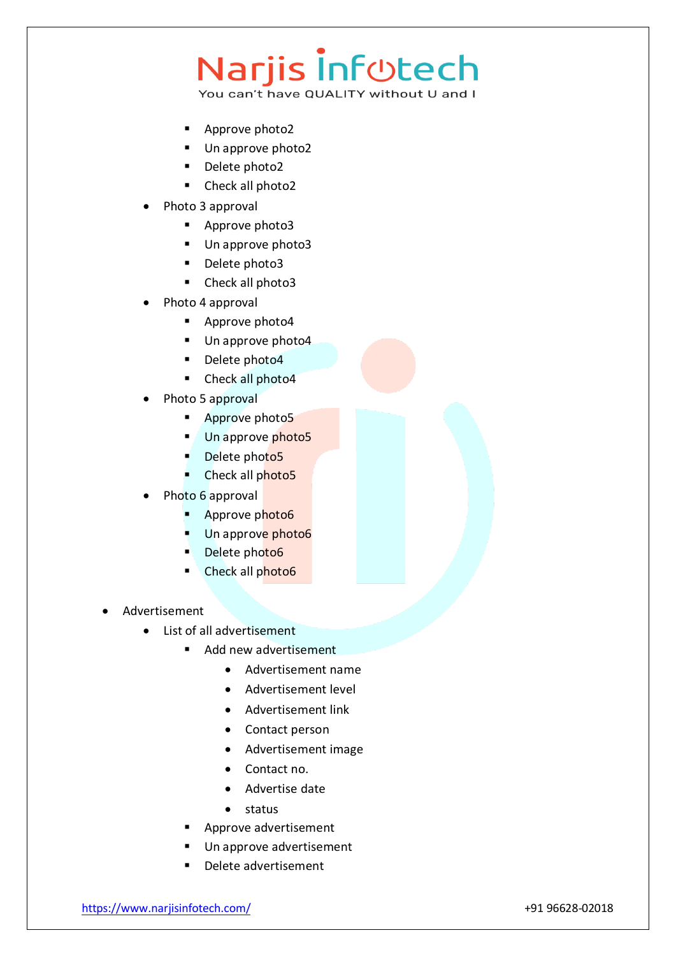### Narjis Inf<sub>©tech</sub>

- Approve photo2
- Un approve photo2
- Delete photo2
- Check all photo2
- Photo 3 approval
	- Approve photo3
	- Un approve photo3
	- Delete photo3
	- Check all photo3
- Photo 4 approval
	- Approve photo4
	- Un approve photo4
	- Delete photo4
	- Check all photo4
- Photo 5 approval
	- **Approve photo5**
	- Un approve photo5
	- Delete photo5
	- Check all photo5
- Photo 6 approval
	- Approve photo6
	- Un approve photo6
	- Delete photo6
	- Check all photo6
- Advertisement
	- List of all advertisement
		- Add new advertisement
			- Advertisement name
			- Advertisement level
			- Advertisement link
			- Contact person
			- Advertisement image
			- Contact no.
			- Advertise date
			- status
		- Approve advertisement
		- Un approve advertisement
		- Delete advertisement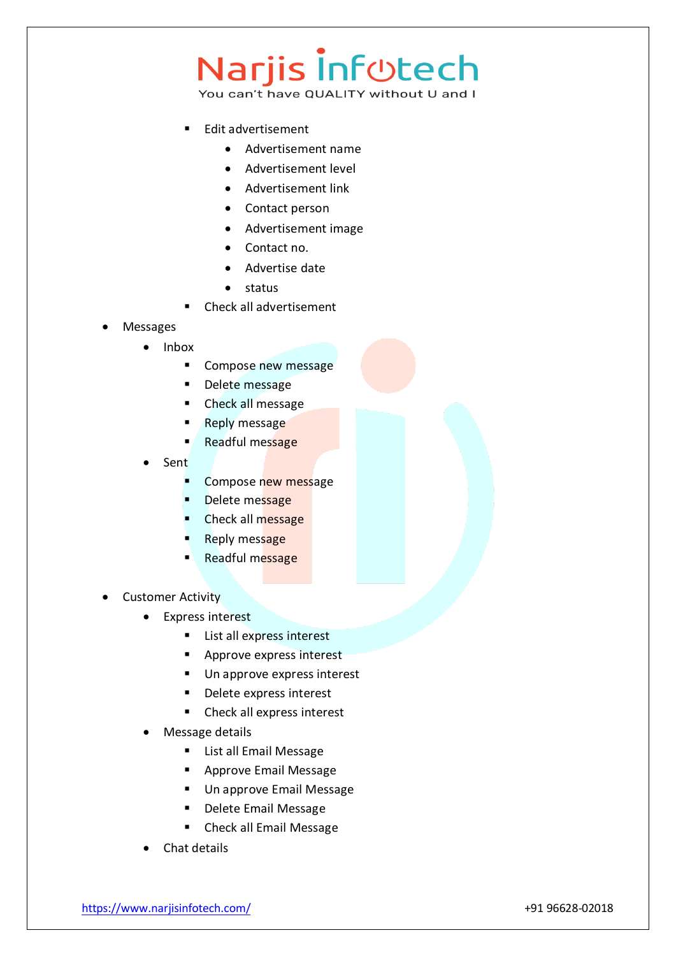- Edit advertisement
	- Advertisement name
	- Advertisement level
	- Advertisement link
	- Contact person
	- Advertisement image
	- Contact no.
	- Advertise date
	- $\bullet$  status
- Check all advertisement
- Messages
	- Inbox
		- **Compose new message**
		- Delete message
		- **EXECUTE:** Check all message
		- Reply message
		- Readful message
	- Sent
		- Compose new message
		- Delete message
		- Check all message
		- Reply message
		- Readful message
- Customer Activity
	- Express interest
		- **List all express interest**
		- **Approve express interest**
		- Un approve express interest
		- Delete express interest
		- Check all express interest
	- Message details
		- **EXEC** List all Email Message
		- **Approve Email Message**
		- Un approve Email Message
		- **Delete Email Message**
		- **Check all Email Message**
	- Chat details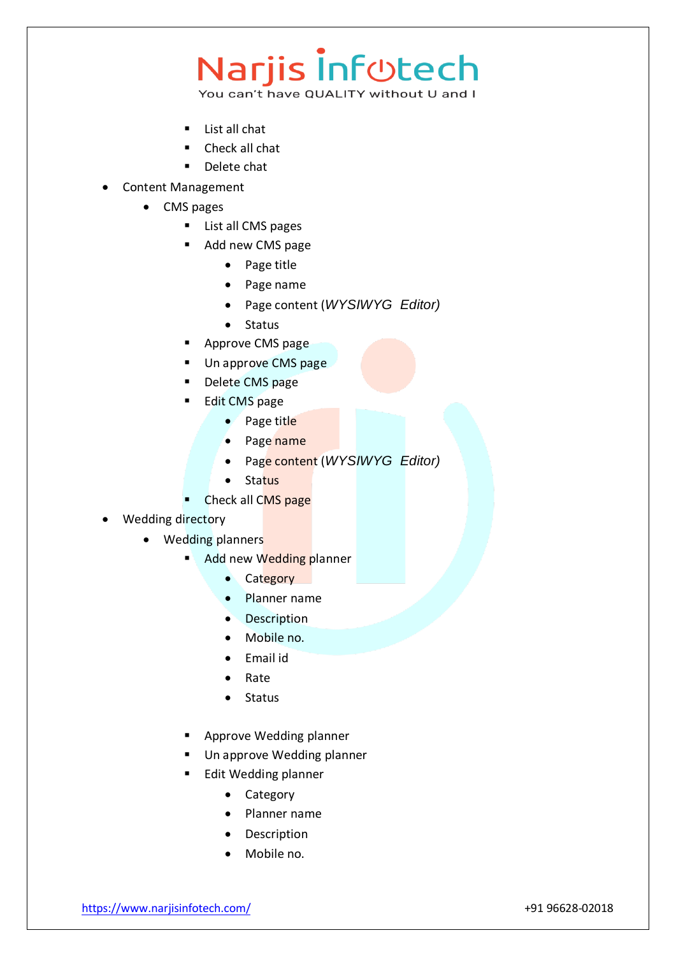### Narjis Inf<sub>©tech</sub>

You can't have QUALITY without U and I

- List all chat
- Check all chat
- Delete chat
- Content Management
	- CMS pages
		- **List all CMS pages**
		- Add new CMS page
			- Page title
			- Page name
			- Page content (*WYSIWYG Editor)*
			- Status
		- Approve CMS page
		- Un approve CMS page
		- Delete CMS page
		- Edit CMS page
			- Page title
			- Page name
			- Page content (*WYSIWYG Editor)*
			- Status
		- Check all CMS page

#### Wedding directory

- Wedding planners
	- Add new Wedding planner
		- Category
		- Planner name
		- Description
		- Mobile no.
		- Email id
		- Rate
		- Status
	- Approve Wedding planner
	- Un approve Wedding planner
		- Edit Wedding planner
			- Category
			- Planner name
			- Description
			- Mobile no.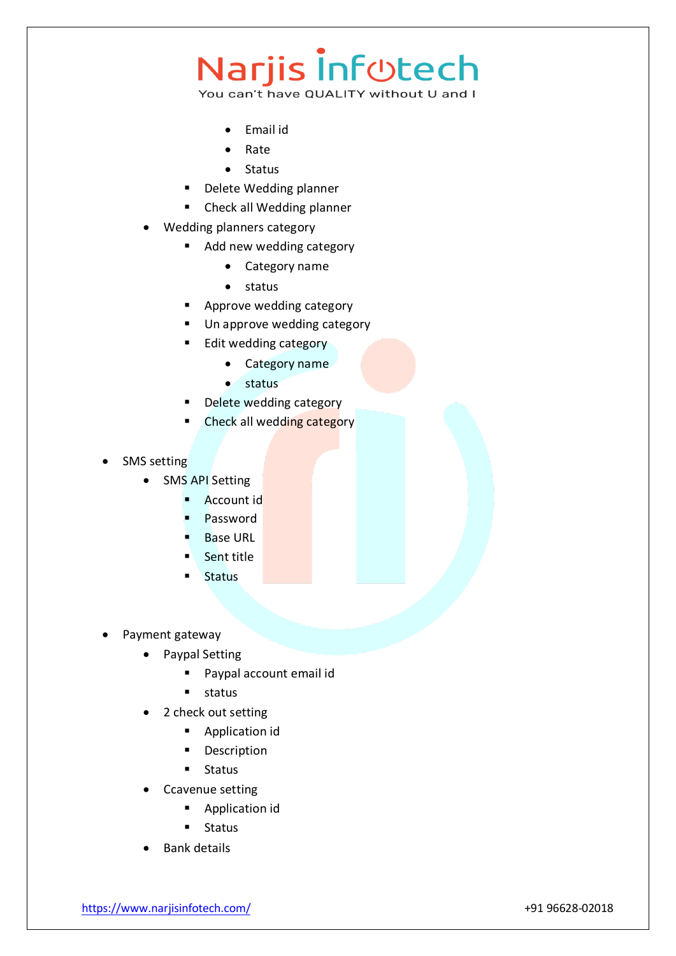- Email id
- Rate
- Status
- Delete Wedding planner
- **EXECUTE:** Check all Wedding planner
- Wedding planners category
	- Add new wedding category
		- Category name
		- status
	- Approve wedding category
	- **Un approve wedding category**
	- **Edit wedding category** 
		- Category name
		- $\bullet$  status
	- **Delete wedding category**
	- Check all wedding category
- SMS setting
	- SMS API Setting
		- **Account id**
		- Password
		- Base URL
		- Sent title
		- **Status**
- Payment gateway
	- Paypal Setting
		- **Paypal account email id**
		- $\blacksquare$  status
	- 2 check out setting
		- **Application id**
		- **Description**
		- **Status**
	- Ccavenue setting
		- **Application id**
		- **Status**
	- Bank details